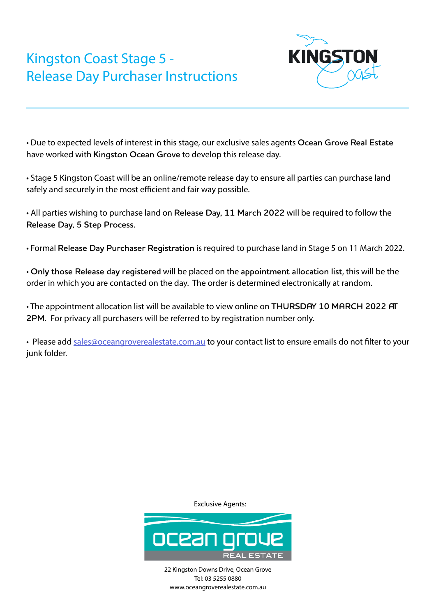

• Due to expected levels of interest in this stage, our exclusive sales agents **Ocean Grove Real Estate** have worked with **Kingston Ocean Grove** to develop this release day.

• Stage 5 Kingston Coast will be an online/remote release day to ensure all parties can purchase land safely and securely in the most efficient and fair way possible.

• All parties wishing to purchase land on **Release Day, 11 March 2022** will be required to follow the **Release Day, 5 Step Process.**

• Formal **Release Day Purchaser Registration** is required to purchase land in Stage 5 on 11 March 2022.

• **Only those Release day registered** will be placed on the **appointment allocation list**, this will be the order in which you are contacted on the day. The order is determined electronically at random.

• The appointment allocation list will be available to view online on **THURSDAY 10 MARCH 2022 AT 2PM.** For privacy all purchasers will be referred to by registration number only.

• Please add sales@oceangroverealestate.com.au to your contact list to ensure emails do not filter to your junk folder.

Exclusive Agents:

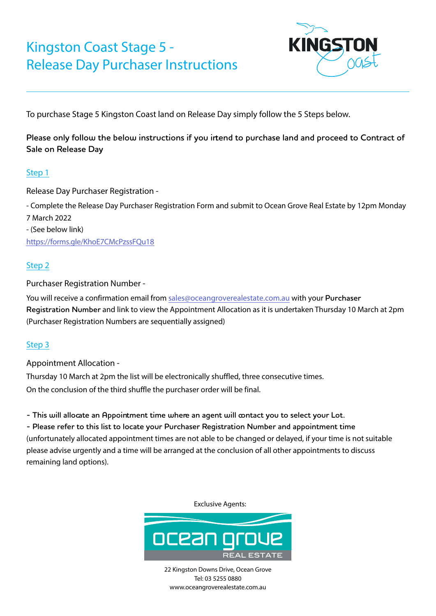

To purchase Stage 5 Kingston Coast land on Release Day simply follow the 5 Steps below.

Please only follow the below instructions if you irtend to purchase land and proceed to Contract of **Sale on Release Day**

### Step 1

Release Day Purchaser Registration -

- Complete the Release Day Purchaser Registration Form and submit to Ocean Grove Real Estate by 12pm Monday 7 March 2022 - (See below link)

<https://forms.gle/KhoE7CMcPzssFQu18>

#### Step 2

Purchaser Registration Number -

You will receive a confirmation email from sales@oceangroverealestate.com.au with your **Purchaser Registration Number** and link to view the Appointment Allocation as it is undertaken Thursday 10 March at 2pm (Purchaser Registration Numbers are sequentially assigned)

### Step 3

Appointment Allocation -

Thursday 10 March at 2pm the list will be electronically shuffled, three consecutive times. On the conclusion of the third shuffle the purchaser order will be final.

**- This will allocate an Appointment time where an agent will contact you to select your Lot.**

**- Please refer to this list to locate your Purchaser Registration Number and appointment time** (unfortunately allocated appointment times are not able to be changed or delayed, if your time is not suitable please advise urgently and a time will be arranged at the conclusion of all other appointments to discuss remaining land options).

Exclusive Agents:

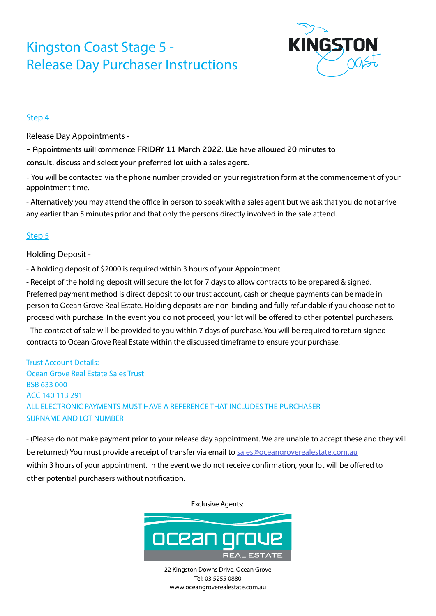

#### Step 4

Release Day Appointments -

**- Appointments will commence FRIDAY 11 March 2022. We have allowed 20 minutes to** 

**consult, discuss and select your preferred lot with a sales agent.**

- You will be contacted via the phone number provided on your registration form at the commencement of your appointment time.

- Alternatively you may attend the office in person to speak with a sales agent but we ask that you do not arrive any earlier than 5 minutes prior and that only the persons directly involved in the sale attend.

### Step 5

Holding Deposit -

- A holding deposit of \$2000 is required within 3 hours of your Appointment.

- Receipt of the holding deposit will secure the lot for 7 days to allow contracts to be prepared & signed. Preferred payment method is direct deposit to our trust account, cash or cheque payments can be made in person to Ocean Grove Real Estate. Holding deposits are non-binding and fully refundable if you choose not to proceed with purchase. In the event you do not proceed, your lot will be offered to other potential purchasers. - The contract of sale will be provided to you within 7 days of purchase. You will be required to return signed contracts to Ocean Grove Real Estate within the discussed timeframe to ensure your purchase.

Trust Account Details: Ocean Grove Real Estate Sales Trust BSB 633 000 ACC 140 113 291 ALL ELECTRONIC PAYMENTS MUST HAVE A REFERENCE THAT INCLUDES THE PURCHASER SURNAME AND LOT NUMBER

- (Please do not make payment prior to your release day appointment. We are unable to accept these and they will be returned) You must provide a receipt of transfer via email to sales@oceangroverealestate.com.au within 3 hours of your appointment. In the event we do not receive confirmation, your lot will be offered to other potential purchasers without notification.

Exclusive Agents: